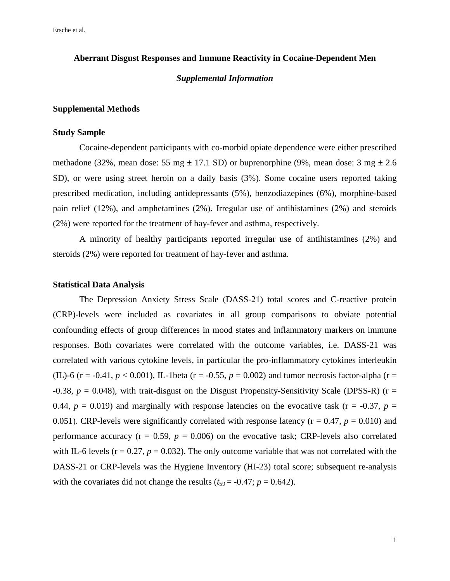Ersche et al.

## **Aberrant Disgust Responses and Immune Reactivity in Cocaine-Dependent Men**

# *Supplemental Information*

### **Supplemental Methods**

## **Study Sample**

Cocaine-dependent participants with co-morbid opiate dependence were either prescribed methadone (32%, mean dose: 55 mg  $\pm$  17.1 SD) or buprenorphine (9%, mean dose: 3 mg  $\pm$  2.6 SD), or were using street heroin on a daily basis (3%). Some cocaine users reported taking prescribed medication, including antidepressants (5%), benzodiazepines (6%), morphine-based pain relief (12%), and amphetamines (2%). Irregular use of antihistamines (2%) and steroids (2%) were reported for the treatment of hay-fever and asthma, respectively.

A minority of healthy participants reported irregular use of antihistamines (2%) and steroids (2%) were reported for treatment of hay-fever and asthma.

### **Statistical Data Analysis**

The Depression Anxiety Stress Scale (DASS-21) total scores and C-reactive protein (CRP)-levels were included as covariates in all group comparisons to obviate potential confounding effects of group differences in mood states and inflammatory markers on immune responses. Both covariates were correlated with the outcome variables, i.e. DASS-21 was correlated with various cytokine levels, in particular the pro-inflammatory cytokines interleukin (IL)-6 (r = -0.41,  $p < 0.001$ ), IL-1beta (r = -0.55,  $p = 0.002$ ) and tumor necrosis factor-alpha (r =  $-0.38$ ,  $p = 0.048$ ), with trait-disgust on the Disgust Propensity-Sensitivity Scale (DPSS-R) (r = 0.44,  $p = 0.019$ ) and marginally with response latencies on the evocative task ( $r = -0.37$ ,  $p =$ 0.051). CRP-levels were significantly correlated with response latency ( $r = 0.47$ ,  $p = 0.010$ ) and performance accuracy ( $r = 0.59$ ,  $p = 0.006$ ) on the evocative task; CRP-levels also correlated with IL-6 levels ( $r = 0.27$ ,  $p = 0.032$ ). The only outcome variable that was not correlated with the DASS-21 or CRP-levels was the Hygiene Inventory (HI-23) total score; subsequent re-analysis with the covariates did not change the results  $(t_{59} = -0.47; p = 0.642)$ .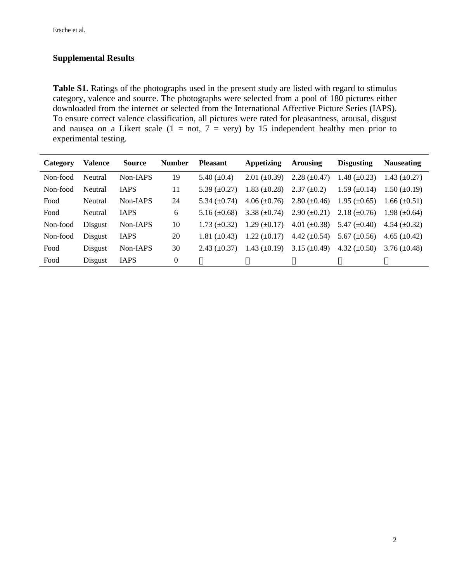# **Supplemental Results**

Table S1. Ratings of the photographs used in the present study are listed with regard to stimulus category, valence and source. The photographs were selected from a pool of 180 pictures either downloaded from the internet or selected from the International Affective Picture Series (IAPS). To ensure correct valence classification, all pictures were rated for pleasantness, arousal, disgust and nausea on a Likert scale  $(1 = not, 7 = very)$  by 15 independent healthy men prior to experimental testing.

| Category | <b>Valence</b> | <b>Source</b> | <b>Number</b> | <b>Pleasant</b>     | <b>Appetizing</b>   | Arousing            | <b>Disgusting</b>   | <b>Nauseating</b>   |
|----------|----------------|---------------|---------------|---------------------|---------------------|---------------------|---------------------|---------------------|
| Non-food | Neutral        | Non-IAPS      | 19            | 5.40 $(\pm 0.4)$    | $2.01 \ (\pm 0.39)$ | $2.28 \ (\pm 0.47)$ | 1.48 $(\pm 0.23)$   | 1.43 $(\pm 0.27)$   |
| Non-food | Neutral        | <b>IAPS</b>   | 11            | 5.39 $(\pm 0.27)$   | $1.83 \ (\pm 0.28)$ | $2.37 \ (\pm 0.2)$  | $1.59 \ (\pm 0.14)$ | $1.50 \ (\pm 0.19)$ |
| Food     | Neutral        | Non-IAPS      | 24            | 5.34 $(\pm 0.74)$   | $4.06 \ (\pm 0.76)$ | $2.80 \ (\pm 0.46)$ | $1.95 \ (\pm 0.65)$ | $1.66 \ (\pm 0.51)$ |
| Food     | Neutral        | <b>IAPS</b>   | 6             | 5.16 $(\pm 0.68)$   | 3.38 $(\pm 0.74)$   | $2.90 \ (\pm 0.21)$ | 2.18 $(\pm 0.76)$   | 1.98 $(\pm 0.64)$   |
| Non-food | Disgust        | Non-IAPS      | 10            | $1.73 \ (\pm 0.32)$ | $1.29 \ (\pm 0.17)$ | 4.01 $(\pm 0.38)$   | 5.47 $(\pm 0.40)$   | 4.54 $(\pm 0.32)$   |
| Non-food | Disgust        | <b>IAPS</b>   | 20            | 1.81 $(\pm 0.43)$   | $1.22 \ (\pm 0.17)$ | 4.42 $(\pm 0.54)$   | 5.67 $(\pm 0.56)$   | 4.65 $(\pm 0.42)$   |
| Food     | Disgust        | Non-IAPS      | 30            | 2.43 $(\pm 0.37)$   | 1.43 $(\pm 0.19)$   | 3.15 $(\pm 0.49)$   | 4.32 $(\pm 0.50)$   | $3.76 \ (\pm 0.48)$ |
| Food     | Disgust        | <b>IAPS</b>   | 0             | $\frac{3}{4}$       | $\frac{3}{4}$       | $\frac{3}{4}$       | $\frac{3}{4}$       | $\frac{3}{4}$       |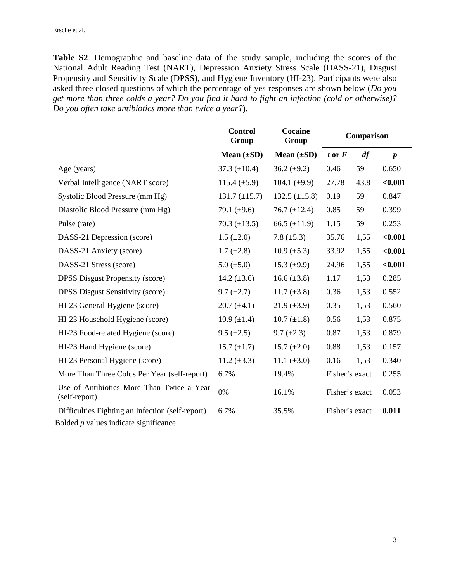**Table S2**. Demographic and baseline data of the study sample, including the scores of the National Adult Reading Test (NART), Depression Anxiety Stress Scale (DASS-21), Disgust Propensity and Sensitivity Scale (DPSS), and Hygiene Inventory (HI-23). Participants were also asked three closed questions of which the percentage of yes responses are shown below (*Do you get more than three colds a year? Do you find it hard to fight an infection (cold or otherwise)? Do you often take antibiotics more than twice a year?*).

|                                                            | <b>Control</b><br>Group | Cocaine<br>Group   |                | Comparison |                  |
|------------------------------------------------------------|-------------------------|--------------------|----------------|------------|------------------|
|                                                            | Mean $(\pm SD)$         | Mean $(\pm SD)$    | $t$ or $F$     | df         | $\boldsymbol{p}$ |
| Age (years)                                                | 37.3 $(\pm 10.4)$       | 36.2 $(\pm 9.2)$   | 0.46           | 59         | 0.650            |
| Verbal Intelligence (NART score)                           | 115.4 $(\pm 5.9)$       | 104.1 $(\pm 9.9)$  | 27.78          | 43.8       | $0.001$          |
| Systolic Blood Pressure (mm Hg)                            | $131.7 \ (\pm 15.7)$    | 132.5 $(\pm 15.8)$ | 0.19           | 59         | 0.847            |
| Diastolic Blood Pressure (mm Hg)                           | 79.1 $(\pm 9.6)$        | 76.7 $(\pm 12.4)$  | 0.85           | 59         | 0.399            |
| Pulse (rate)                                               | $70.3 (\pm 13.5)$       | 66.5 $(\pm 11.9)$  | 1.15           | 59         | 0.253            |
| DASS-21 Depression (score)                                 | $1.5 \ (\pm 2.0)$       | 7.8 $(\pm 5.3)$    | 35.76          | 1,55       | < 0.001          |
| DASS-21 Anxiety (score)                                    | $1.7 (\pm 2.8)$         | $10.9 \ (\pm 5.3)$ | 33.92          | 1,55       | < 0.001          |
| DASS-21 Stress (score)                                     | $5.0 \ (\pm 5.0)$       | 15.3 $(\pm 9.9)$   | 24.96          | 1,55       | < 0.001          |
| <b>DPSS Disgust Propensity (score)</b>                     | 14.2 $(\pm 3.6)$        | 16.6 $(\pm 3.8)$   | 1.17           | 1,53       | 0.285            |
| <b>DPSS Disgust Sensitivity (score)</b>                    | $9.7 (\pm 2.7)$         | 11.7 $(\pm 3.8)$   | 0.36           | 1,53       | 0.552            |
| HI-23 General Hygiene (score)                              | $20.7 (\pm 4.1)$        | $21.9 \ (\pm 3.9)$ | 0.35           | 1,53       | 0.560            |
| HI-23 Household Hygiene (score)                            | $10.9 (\pm 1.4)$        | $10.7 (\pm 1.8)$   | 0.56           | 1,53       | 0.875            |
| HI-23 Food-related Hygiene (score)                         | $9.5 \ (\pm 2.5)$       | $9.7 \ (\pm 2.3)$  | 0.87           | 1,53       | 0.879            |
| HI-23 Hand Hygiene (score)                                 | $15.7 (\pm 1.7)$        | 15.7 $(\pm 2.0)$   | 0.88           | 1,53       | 0.157            |
| HI-23 Personal Hygiene (score)                             | 11.2 $(\pm 3.3)$        | 11.1 $(\pm 3.0)$   | 0.16           | 1,53       | 0.340            |
| More Than Three Colds Per Year (self-report)               | 6.7%                    | 19.4%              | Fisher's exact |            | 0.255            |
| Use of Antibiotics More Than Twice a Year<br>(self-report) | 0%                      | 16.1%              | Fisher's exact |            | 0.053            |
| Difficulties Fighting an Infection (self-report)           | 6.7%                    | 35.5%              | Fisher's exact |            | 0.011            |

Bolded *p* values indicate significance.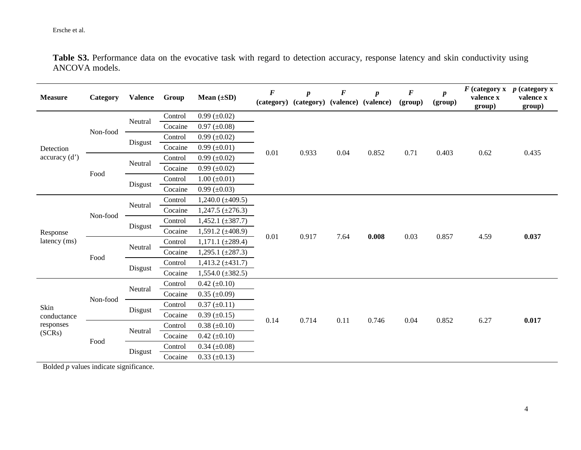Table S3. Performance data on the evocative task with regard to detection accuracy, response latency and skin conductivity using ANCOVA models.

| <b>Measure</b>                             | Category | <b>Valence</b> | Group   | Mean $(\pm SD)$         | F<br>(category) | $\boldsymbol{p}$<br>(category) | $\bm{F}$ | $\boldsymbol{p}$<br>(valence) (valence) | $\boldsymbol{F}$<br>(group) | $\boldsymbol{p}$<br>(group) | valence x<br>group) | $F$ (category x $p$ (category x<br>valence x<br>group) |
|--------------------------------------------|----------|----------------|---------|-------------------------|-----------------|--------------------------------|----------|-----------------------------------------|-----------------------------|-----------------------------|---------------------|--------------------------------------------------------|
|                                            | Non-food | Neutral        | Control | $0.99 \ (\pm 0.02)$     |                 | 0.933                          | 0.04     | 0.852                                   | 0.71                        |                             | 0.62                | 0.435                                                  |
|                                            |          |                | Cocaine | $0.97 (\pm 0.08)$       |                 |                                |          |                                         |                             |                             |                     |                                                        |
|                                            |          | Disgust        | Control | $0.99 \ (\pm 0.02)$     |                 |                                |          |                                         |                             |                             |                     |                                                        |
| Detection                                  |          |                | Cocaine | $0.99 \ (\pm 0.01)$     | $0.01\,$        |                                |          |                                         |                             | 0.403                       |                     |                                                        |
| accuracy(d')                               |          | Neutral        | Control | $0.99 \ (\pm 0.02)$     |                 |                                |          |                                         |                             |                             |                     |                                                        |
|                                            | Food     |                | Cocaine | $0.99 \ (\pm 0.02)$     |                 |                                |          |                                         |                             |                             |                     |                                                        |
|                                            |          | Disgust        | Control | $1.00 (\pm 0.01)$       |                 |                                |          |                                         |                             |                             |                     |                                                        |
|                                            |          |                | Cocaine | $0.99 \ (\pm 0.03)$     |                 |                                |          |                                         |                             |                             |                     |                                                        |
|                                            | Non-food | Neutral        | Control | $1,240.0 (\pm 409.5)$   | 0.01            | 0.917                          | 7.64     | 0.008                                   | 0.03                        | 0.857                       | 4.59                | 0.037                                                  |
|                                            |          |                | Cocaine | $1,247.5 \ (\pm 276.3)$ |                 |                                |          |                                         |                             |                             |                     |                                                        |
|                                            |          | Disgust        | Control | 1,452.1 $(\pm 387.7)$   |                 |                                |          |                                         |                             |                             |                     |                                                        |
| Response                                   |          |                | Cocaine | 1,591.2 $(\pm 408.9)$   |                 |                                |          |                                         |                             |                             |                     |                                                        |
| latency (ms)                               | Food     | Neutral        | Control | $1,171.1 (\pm 289.4)$   |                 |                                |          |                                         |                             |                             |                     |                                                        |
|                                            |          |                | Cocaine | 1,295.1 $(\pm 287.3)$   |                 |                                |          |                                         |                             |                             |                     |                                                        |
|                                            |          | Disgust        | Control | $1,413.2 (\pm 431.7)$   |                 |                                |          |                                         |                             |                             |                     |                                                        |
|                                            |          |                | Cocaine | $1,554.0 (\pm 382.5)$   |                 |                                |          |                                         |                             |                             |                     |                                                        |
|                                            | Non-food | Neutral        | Control | $0.42 (\pm 0.10)$       | 0.14            |                                | 0.11     | 0.746                                   | 0.04                        | 0.852                       | 6.27                | 0.017                                                  |
|                                            |          |                | Cocaine | $0.35 \ (\pm 0.09)$     |                 |                                |          |                                         |                             |                             |                     |                                                        |
| Skin<br>conductance<br>responses<br>(SCRs) |          | Disgust        | Control | $0.37 (\pm 0.11)$       |                 |                                |          |                                         |                             |                             |                     |                                                        |
|                                            |          |                | Cocaine | $0.39 \ (\pm 0.15)$     |                 | 0.714                          |          |                                         |                             |                             |                     |                                                        |
|                                            | Food     | Neutral        | Control | $0.38 (\pm 0.10)$       |                 |                                |          |                                         |                             |                             |                     |                                                        |
|                                            |          |                | Cocaine | $0.42 \ (\pm 0.10)$     |                 |                                |          |                                         |                             |                             |                     |                                                        |
|                                            |          | Disgust        | Control | $0.34 (\pm 0.08)$       |                 |                                |          |                                         |                             |                             |                     |                                                        |
|                                            |          |                | Cocaine | $0.33 (\pm 0.13)$       |                 |                                |          |                                         |                             |                             |                     |                                                        |

Bolded *p* values indicate significance.